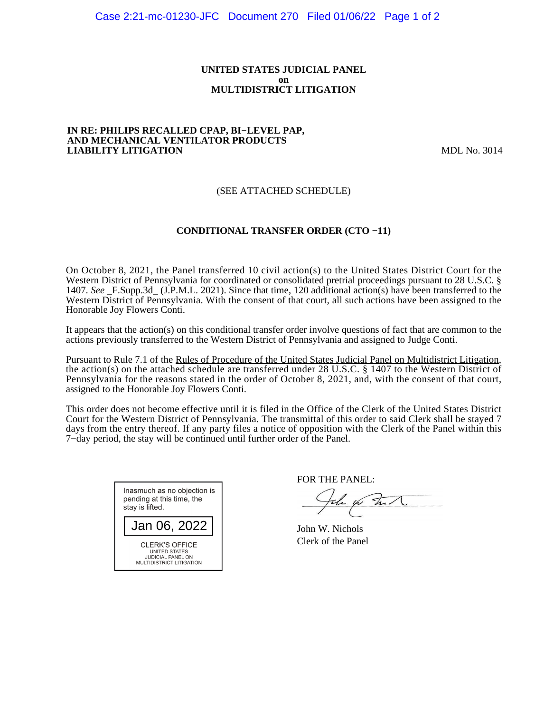#### **UNITED STATES JUDICIAL PANEL on MULTIDISTRICT LITIGATION**

#### **IN RE: PHILIPS RECALLED CPAP, BI−LEVEL PAP, AND MECHANICAL VENTILATOR PRODUCTS LIABILITY LITIGATION** MDL No. 3014

# (SEE ATTACHED SCHEDULE)

# **CONDITIONAL TRANSFER ORDER (CTO −11)**

On October 8, 2021, the Panel transferred 10 civil action(s) to the United States District Court for the Western District of Pennsylvania for coordinated or consolidated pretrial proceedings pursuant to 28 U.S.C. § 1407. *See* \_F.Supp.3d\_ (J.P.M.L. 2021). Since that time, 120 additional action(s) have been transferred to the Western District of Pennsylvania. With the consent of that court, all such actions have been assigned to the Honorable Joy Flowers Conti.

It appears that the action(s) on this conditional transfer order involve questions of fact that are common to the actions previously transferred to the Western District of Pennsylvania and assigned to Judge Conti.

Pursuant to Rule 7.1 of the Rules of Procedure of the United States Judicial Panel on Multidistrict Litigation, the action(s) on the attached schedule are transferred under 28 U.S.C. § 1407 to the Western District of Pennsylvania for the reasons stated in the order of October 8, 2021, and, with the consent of that court, assigned to the Honorable Joy Flowers Conti.

This order does not become effective until it is filed in the Office of the Clerk of the United States District Court for the Western District of Pennsylvania. The transmittal of this order to said Clerk shall be stayed 7 days from the entry thereof. If any party files a notice of opposition with the Clerk of the Panel within this 7−day period, the stay will be continued until further order of the Panel.



FOR THE PANEL:

to that

John W. Nichols Clerk of the Panel